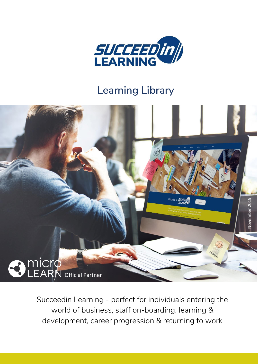

## **Learning Library**



Succeedin Learning - perfect for individuals entering the world of business, staff on-boarding, learning & development, career progression & returning to work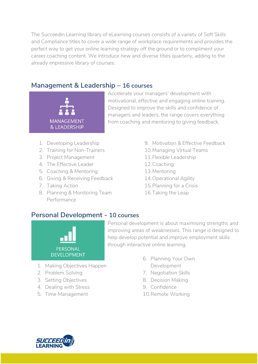The Succeedin Learning library of eLearning courses consists of a variety of Soft Skills and Compliance titles to cover a wide range of workplace requirements and provides the perfect way to get your online learning strategy off the ground or to compliment your career coaching content. We introduce new and diverse titles quarterly, adding to the already impressive library of courses.

### **Management & Leadership – 16 courses**



Accelerate your managers' development with motivational, effective and engaging online training. Designed to improve the skills and confidence of managers and leaders, the range covers everything from coaching and mentoring to giving feedback.

- 1. Developing Leadership
- 2. Training for Non-Trainers
- 3. Project Management
- 4. The Effective Leader
- 5. Coaching & Mentoring
- 6. Giving & Receiving Feedback
- 7. Taking Action
- 8. Planning & Monitoring Team Performance
- 9. Motivation & Effective Feedback
- 10.Managing Virtual Teams
- 11.Flexible Leadership
- 12.Coaching
- 13.Mentoring
- 14.Operational Agility
- 15.Planning for a Crisis
- 16.Taking the Leap

### **Personal Development - 10 courses**



Personal development is about maximising strengths and improving areas of weaknesses. This range is designed to help develop potential and improve employment skills through interactive online learning.

- 1. Making Objectives Happen
- 2. Problem Solving
- 3. Setting Objectives
- 4. Dealing with Stress
- 5. Time Management
- 6. Planning Your Own Development
- 7. Negotiation Skills
- 8. Decision Making
- 9. Confidence
- 10.Remote Working

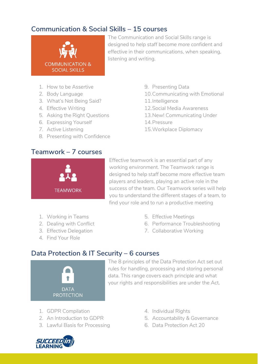### **Communication & Social Skills – 15 courses**



The Communication and Social Skills range is designed to help staff become more confident and effective in their communications, when speaking, listening and writing.

- 1. How to be Assertive
- 2. Body Language
- 3. What's Not Being Said?
- 4. Effective Writing
- 5. Asking the Right Questions
- 6. Expressing Yourself
- 7. Active Listening
- 8. Presenting with Confidence

### **Teamwork – 7 courses**

- 9. Presenting Data
- 10.Communicating with Emotional
- 11.Intelligence
- 12.Social Media Awareness
- 13.New! Communicating Under
- 14.Pressure
- 15.Workplace Diplomacy

**TEAMWORK** 

Effective teamwork is an essential part of any working environment. The Teamwork range is designed to help staff become more effective team players and leaders, playing an active role in the success of the team. Our Teamwork series will help you to understand the different stages of a team, to find your role and to run a productive meeting

- 1. Working in Teams
- 2. Dealing with Conflict
- 3. Effective Delegation
- 4. Find Your Role
- 5. Effective Meetings
- 6. Performance Troubleshooting
- 7. Collaborative Working

### **Data Protection & IT Security – 6 courses**



The 8 principles of the Data Protection Act set out rules for handling, processing and storing personal data. This range covers each principle and what your rights and responsibilities are under the Act.

- 1. GDPR Compilation
- 2. An Introduction to GDPR
- 3. Lawful Basis for Processing
- 4. Individual Rights
- 5. Accountability & Governance
- 6. Data Protection Act 20

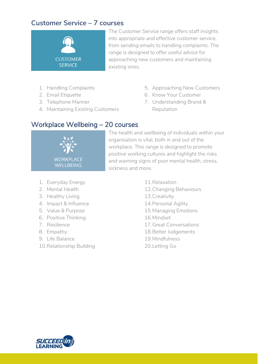### **Customer Service – 7 courses**



The Customer Service range offers staff insights into appropriate and effective customer service, from sending emails to handling complaints. The range is designed to offer useful advice for approaching new customers and maintaining existing ones.

- 1. Handling Complaints
- 2. Email Etiquette
- 3. Telephone Manner
- 4. Maintaining Existing Customers
- 5. Approaching New Customers
- 6. Know Your Customer
- 7. Understanding Brand & Reputation

### Workplace Wellbeing – 20 courses



The health and wellbeing of individuals within your organisation is vital, both in and out of the workplace. This range is designed to promote positive working cultures and highlight the risks and warning signs of poor mental health, stress, sickness and more.

- 1. Everyday Energy
- 2. Mental Health
- 3. Healthy Living
- 4. Impact & Influence
- 5. Value & Purpose
- 6. Positive Thinking
- 7. Resilience
- 8. Empathy
- 9. Life Balance
- 10.Relationship Building
- 11.Relaxation 12.Changing Behaviours 13.Creativity 14.Personal Agility
- 15.Managing Emotions
- 16.Mindset
- 17.Great Conversations
- 18.Better Judgements
- 19.Mindfulness
- 20.Letting Go

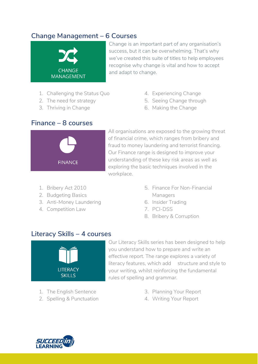### **Change Management – 6 Courses**



Change is an important part of any organisation's success, but it can be overwhelming. That's why we've created this suite of titles to help employees recognise why change is vital and how to accept and adapt to change.

- 1. Challenging the Status Quo
- 2. The need for strategy
- 3. Thriving in Change

**Finance – 8 courses**

- 4. Experiencing Change
- 5. Seeing Change through
- 6. Making the Change

# **FINANCE**

All organisations are exposed to the growing threat of financial crime, which ranges from bribery and fraud to money laundering and terrorist financing. Our Finance range is designed to improve your understanding of these key risk areas as well as exploring the basic techniques involved in the workplace.

- 1. Bribery Act 2010
- 2. Budgeting Basics
- 3. Anti-Money Laundering
- 4. Competition Law
- 5. Finance For Non-Financial Managers
- 6. Insider Trading
- 7. PCI-DSS
- 8. Bribery & Corruption

### **Literacy Skills – 4 courses**



- 1. The English Sentence
- 2. Spelling & Punctuation

Our Literacy Skills series has been designed to help you understand how to prepare and write an effective report. The range explores a variety of literacy features, which add structure and style to your writing, whilst reinforcing the fundamental rules of spelling and grammar.

- 3. Planning Your Report
- 4. Writing Your Report

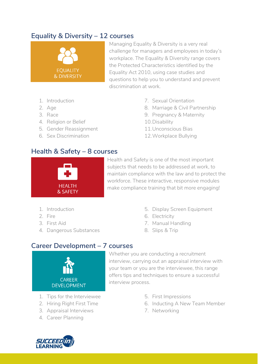### **Equality & Diversity – 12 courses**



Managing Equality & Diversity is a very real challenge for managers and employees in today's workplace. The Equality & Diversity range covers the Protected Characteristics identified by the Equality Act 2010, using case studies and questions to help you to understand and prevent discrimination at work.

- 1. Introduction
- 2. Age
- 3. Race
- 4. Religion or Belief
- 5. Gender Reassignment
- 6. Sex Discrimination
- 7. Sexual Orientation
- 8. Marriage & Civil Partnership
- 9. Pregnancy & Maternity
- 10.Disability
- 11.Unconscious Bias
- 12.Workplace Bullying

### **Health & Safety – 8 courses**



Health and Safety is one of the most important subjects that needs to be addressed at work, to maintain compliance with the law and to protect the workforce. These interactive, responsive modules make compliance training that bit more engaging!

- 1. Introduction
- 2. Fire
- 3. First Aid
- 4. Dangerous Substances
- 5. Display Screen Equipment
- 6. Electricity
- 7. Manual Handling
- 8. Slips & Trip

### **Career Development – 7 courses**



- 1. Tips for the Interviewee
- 2. Hiring Right First Time
- 3. Appraisal Interviews
- 4. Career Planning
- Whether you are conducting a recruitment interview, carrying out an appraisal interview with your team or you are the interviewee, this range offers tips and techniques to ensure a successful interview process.
	- 5. First Impressions
	- 6. Inducting A New Team Member
	- 7. Networking

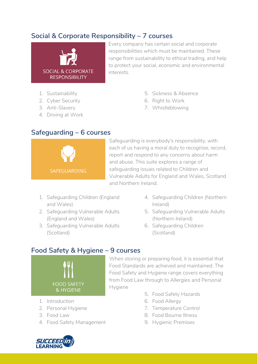### **Social & Corporate Responsibility – 7 courses**



Every company has certain social and corporate responsibilities which must be maintained. These range from sustainability to ethical trading, and help to protect your social, economic and environmental interests.

- 1. Sustainability
- 2. Cyber Security
- 3. Anti-Slavery
- 4. Driving at Work
- 5. Sickness & Absence
- 6. Right to Work
- 7. Whistleblowing

### **Safeguarding – 6 courses**



Safeguarding is everybody's responsibility, with each of us having a moral duty to recognise, record, report and respond to any concerns about harm and abuse. This suite explores a range of safeguarding issues related to Children and Vulnerable Adults for England and Wales, Scotland and Northern Ireland.

- 1. Safeguarding Children (England and Wales)
- 2. Safeguarding Vulnerable Adults (England and Wales)
- 3. Safeguarding Vulnerable Adults (Scotland)
- 4. Safeguarding Children (Northern Ireland)
- 5. Safeguarding Vulnerable Adults (Northern Ireland)
- 6. Safeguarding Children (Scotland)

### **Food Safety & Hygiene – 9 courses**



- 1. Introduction
- 2. Personal Hygiene
- 3. Food Law
- 4. Food Safety Management
- When storing or preparing food, it is essential that Food Standards are achieved and maintained. The Food Safety and Hygiene range covers everything from Food Law through to Allergies and Personal Hygiene
	- 5. Food Safety Hazards
	- 6. Food Allergy
	- 7. Temperature Control
	- 8. Food Bourne Illness
	- 9. Hygienic Premises